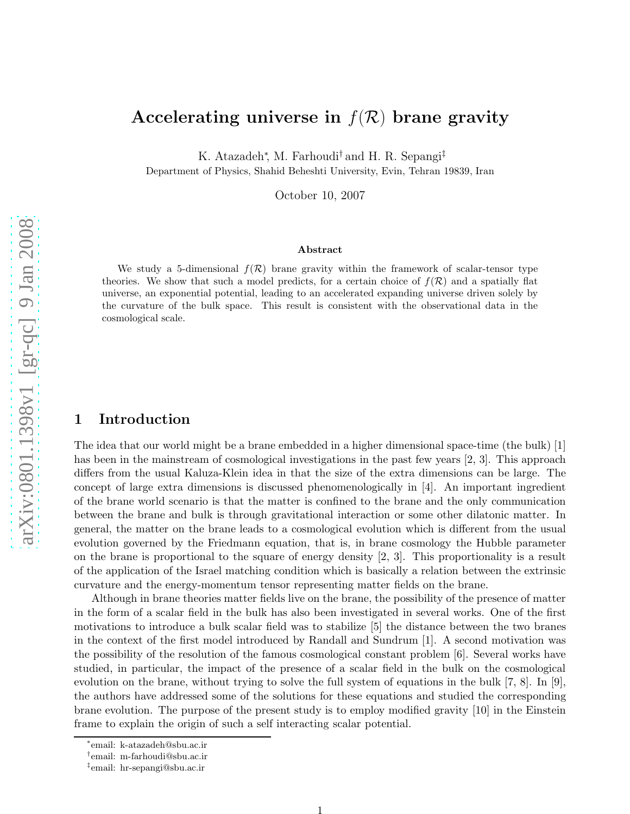# Accelerating universe in  $f(\mathcal{R})$  brane gravity

K. Atazadeh<sup>\*</sup>, M. Farhoudi<sup>†</sup> and H. R. Sepangi<sup>‡</sup>

Department of Physics, Shahid Beheshti University, Evin, Tehran 19839, Iran

October 10, 2007

#### Abstract

We study a 5-dimensional  $f(\mathcal{R})$  brane gravity within the framework of scalar-tensor type theories. We show that such a model predicts, for a certain choice of  $f(\mathcal{R})$  and a spatially flat universe, an exponential potential, leading to an accelerated expanding universe driven solely by the curvature of the bulk space. This result is consistent with the observational data in the cosmological scale.

#### 1 Introduction

The idea that our world might be a brane embedded in a higher dimensional space-time (the bulk) [1] has been in the mainstream of cosmological investigations in the past few years [2, 3]. This approach differs from the usual Kaluza-Klein idea in that the size of the extra dimensions can be large. The concept of large extra dimensions is discussed phenomenologically in [4]. An important ingredient of the brane world scenario is that the matter is confined to the brane and the only communication between the brane and bulk is through gravitational interaction or some other dilatonic matter. In general, the matter on the brane leads to a cosmological evolution which is different from the usual evolution governed by the Friedmann equation, that is, in brane cosmology the Hubble parameter on the brane is proportional to the square of energy density [2, 3]. This proportionality is a result of the application of the Israel matching condition which is basically a relation between the extrinsic curvature and the energy-momentum tensor representing matter fields on the brane.

Although in brane theories matter fields live on the brane, the possibility of the presence of matter in the form of a scalar field in the bulk has also been investigated in several works. One of the first motivations to introduce a bulk scalar field was to stabilize [5] the distance between the two branes in the context of the first model introduced by Randall and Sundrum [1]. A second motivation was the possibility of the resolution of the famous cosmological constant problem [6]. Several works have studied, in particular, the impact of the presence of a scalar field in the bulk on the cosmological evolution on the brane, without trying to solve the full system of equations in the bulk [7, 8]. In [9], the authors have addressed some of the solutions for these equations and studied the corresponding brane evolution. The purpose of the present study is to employ modified gravity [10] in the Einstein frame to explain the origin of such a self interacting scalar potential.

<sup>∗</sup> email: k-atazadeh@sbu.ac.ir

<sup>†</sup> email: m-farhoudi@sbu.ac.ir

<sup>‡</sup> email: hr-sepangi@sbu.ac.ir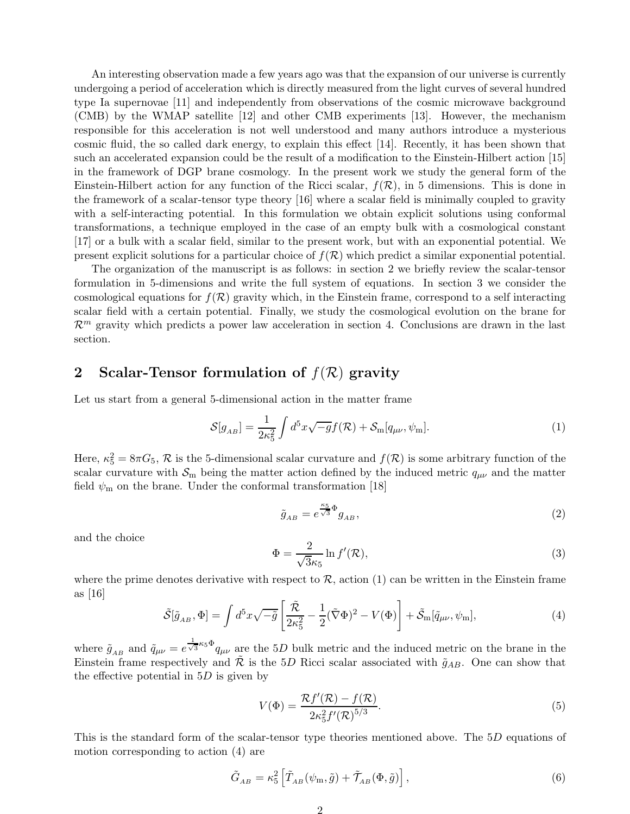An interesting observation made a few years ago was that the expansion of our universe is currently undergoing a period of acceleration which is directly measured from the light curves of several hundred type Ia supernovae [11] and independently from observations of the cosmic microwave background (CMB) by the WMAP satellite [12] and other CMB experiments [13]. However, the mechanism responsible for this acceleration is not well understood and many authors introduce a mysterious cosmic fluid, the so called dark energy, to explain this effect [14]. Recently, it has been shown that such an accelerated expansion could be the result of a modification to the Einstein-Hilbert action [15] in the framework of DGP brane cosmology. In the present work we study the general form of the Einstein-Hilbert action for any function of the Ricci scalar,  $f(\mathcal{R})$ , in 5 dimensions. This is done in the framework of a scalar-tensor type theory [16] where a scalar field is minimally coupled to gravity with a self-interacting potential. In this formulation we obtain explicit solutions using conformal transformations, a technique employed in the case of an empty bulk with a cosmological constant [17] or a bulk with a scalar field, similar to the present work, but with an exponential potential. We present explicit solutions for a particular choice of  $f(\mathcal{R})$  which predict a similar exponential potential.

The organization of the manuscript is as follows: in section 2 we briefly review the scalar-tensor formulation in 5-dimensions and write the full system of equations. In section 3 we consider the cosmological equations for  $f(\mathcal{R})$  gravity which, in the Einstein frame, correspond to a self interacting scalar field with a certain potential. Finally, we study the cosmological evolution on the brane for  $\mathcal{R}^m$  gravity which predicts a power law acceleration in section 4. Conclusions are drawn in the last section.

### 2 Scalar-Tensor formulation of  $f(\mathcal{R})$  gravity

Let us start from a general 5-dimensional action in the matter frame

$$
\mathcal{S}[g_{AB}] = \frac{1}{2\kappa_5^2} \int d^5x \sqrt{-g} f(\mathcal{R}) + \mathcal{S}_{\text{m}}[q_{\mu\nu}, \psi_{\text{m}}]. \tag{1}
$$

Here,  $\kappa_5^2 = 8\pi G_5$ ,  $\mathcal R$  is the 5-dimensional scalar curvature and  $f(\mathcal R)$  is some arbitrary function of the scalar curvature with  $S_m$  being the matter action defined by the induced metric  $q_{\mu\nu}$  and the matter field  $\psi_{\rm m}$  on the brane. Under the conformal transformation [18]

$$
\tilde{g}_{AB} = e^{\frac{\kappa_5}{\sqrt{3}}\Phi} g_{AB},\tag{2}
$$

and the choice

$$
\Phi = \frac{2}{\sqrt{3}\kappa_5} \ln f'(\mathcal{R}),\tag{3}
$$

where the prime denotes derivative with respect to  $\mathcal{R}$ , action (1) can be written in the Einstein frame as [16]

$$
\tilde{\mathcal{S}}[\tilde{g}_{AB},\Phi] = \int d^5x \sqrt{-\tilde{g}} \left[ \frac{\tilde{\mathcal{R}}}{2\kappa_5^2} - \frac{1}{2} (\tilde{\nabla}\Phi)^2 - V(\Phi) \right] + \tilde{\mathcal{S}}_m[\tilde{q}_{\mu\nu},\psi_m],\tag{4}
$$

where  $\tilde{g}_{AB}$  and  $\tilde{q}_{\mu\nu} = e^{\frac{1}{\sqrt{3}}\kappa_5 \Phi} q_{\mu\nu}$  are the 5D bulk metric and the induced metric on the brane in the Einstein frame respectively and  $\tilde{\mathcal{R}}$  is the 5D Ricci scalar associated with  $\tilde{g}_{AB}$ . One can show that the effective potential in  $5D$  is given by

$$
V(\Phi) = \frac{\mathcal{R}f'(\mathcal{R}) - f(\mathcal{R})}{2\kappa_5^2 f'(\mathcal{R})^{5/3}}.
$$
\n
$$
(5)
$$

This is the standard form of the scalar-tensor type theories mentioned above. The 5D equations of motion corresponding to action (4) are

$$
\tilde{G}_{AB} = \kappa_5^2 \left[ \tilde{T}_{AB} (\psi_m, \tilde{g}) + \tilde{\mathcal{T}}_{AB} (\Phi, \tilde{g}) \right], \tag{6}
$$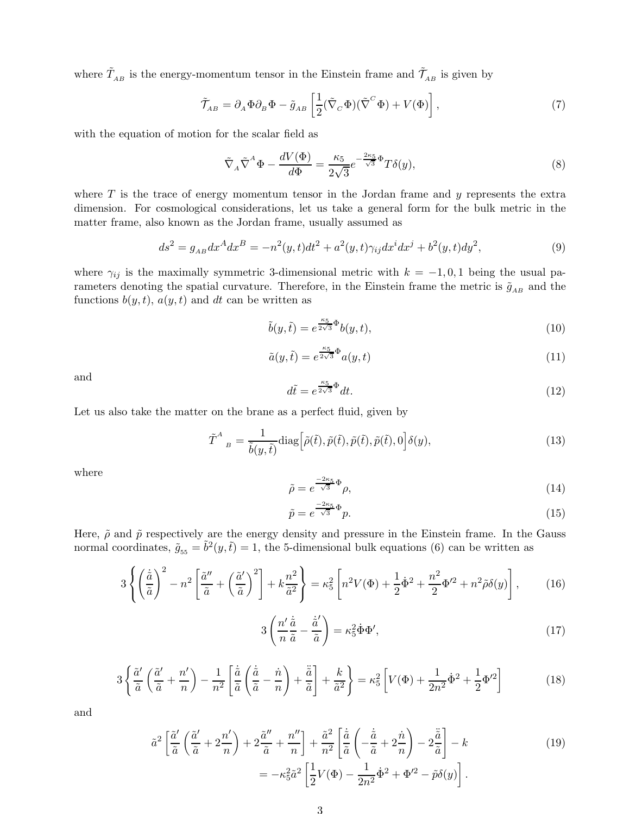where  $\tilde{T}_{AB}$  is the energy-momentum tensor in the Einstein frame and  $\tilde{T}_{AB}$  is given by

$$
\tilde{\mathcal{T}}_{AB} = \partial_A \Phi \partial_B \Phi - \tilde{g}_{AB} \left[ \frac{1}{2} (\tilde{\nabla}_C \Phi)(\tilde{\nabla}^C \Phi) + V(\Phi) \right],\tag{7}
$$

with the equation of motion for the scalar field as

$$
\tilde{\nabla}_A \tilde{\nabla}^A \Phi - \frac{dV(\Phi)}{d\Phi} = \frac{\kappa_5}{2\sqrt{3}} e^{-\frac{2\kappa_5}{\sqrt{3}}\Phi} T\delta(y),\tag{8}
$$

where  $T$  is the trace of energy momentum tensor in the Jordan frame and  $y$  represents the extra dimension. For cosmological considerations, let us take a general form for the bulk metric in the matter frame, also known as the Jordan frame, usually assumed as

$$
ds^{2} = g_{AB}dx^{A}dx^{B} = -n^{2}(y,t)dt^{2} + a^{2}(y,t)\gamma_{ij}dx^{i}dx^{j} + b^{2}(y,t)dy^{2},
$$
\n(9)

where  $\gamma_{ij}$  is the maximally symmetric 3-dimensional metric with  $k = -1, 0, 1$  being the usual parameters denoting the spatial curvature. Therefore, in the Einstein frame the metric is  $\tilde{g}_{AB}$  and the functions  $b(y, t)$ ,  $a(y, t)$  and dt can be written as

$$
\tilde{b}(y,\tilde{t}) = e^{\frac{\kappa_5}{2\sqrt{3}}\Phi}b(y,t),\tag{10}
$$

$$
\tilde{a}(y,\tilde{t}) = e^{\frac{\kappa_5}{2\sqrt{3}}\Phi} a(y,t)
$$
\n(11)

and

$$
d\tilde{t} = e^{\frac{\kappa_5}{2\sqrt{3}}\Phi}dt.
$$
\n(12)

Let us also take the matter on the brane as a perfect fluid, given by

$$
\tilde{T}^{A}{}_{B} = \frac{1}{\tilde{b}(y,\tilde{t})} \text{diag}\Big[\tilde{\rho}(\tilde{t}), \tilde{p}(\tilde{t}), \tilde{p}(\tilde{t}), \tilde{p}(\tilde{t}), 0\Big] \delta(y),\tag{13}
$$

where

$$
\tilde{\rho} = e^{\frac{-2\kappa_5}{\sqrt{3}}\Phi} \rho,\tag{14}
$$

$$
\tilde{p} = e^{\frac{-2\kappa_5}{\sqrt{3}}\Phi} p. \tag{15}
$$

Here,  $\tilde{\rho}$  and  $\tilde{p}$  respectively are the energy density and pressure in the Einstein frame. In the Gauss normal coordinates,  $\tilde{g}_{55} = \tilde{b}^2(y, \tilde{t}) = 1$ , the 5-dimensional bulk equations (6) can be written as

$$
3\left\{ \left(\frac{\dot{\tilde{a}}}{\tilde{a}}\right)^2 - n^2 \left[\frac{\tilde{a}''}{\tilde{a}} + \left(\frac{\tilde{a}'}{\tilde{a}}\right)^2\right] + k\frac{n^2}{\tilde{a}^2} \right\} = \kappa_5^2 \left[n^2 V(\Phi) + \frac{1}{2}\dot{\Phi}^2 + \frac{n^2}{2}\Phi^2 + n^2\tilde{\rho}\delta(y)\right],\tag{16}
$$

$$
3\left(\frac{n'}{n}\frac{\dot{\tilde{a}}}{\tilde{a}} - \frac{\dot{\tilde{a}}'}{\tilde{a}}\right) = \kappa_5^2 \dot{\Phi} \Phi',\tag{17}
$$

$$
3\left\{\frac{\tilde{a}'}{\tilde{a}}\left(\frac{\tilde{a}'}{\tilde{a}}+\frac{n'}{n}\right)-\frac{1}{n^2}\left[\frac{\dot{\tilde{a}}}{\tilde{a}}\left(\frac{\dot{\tilde{a}}}{\tilde{a}}-\frac{\dot{n}}{n}\right)+\frac{\ddot{\tilde{a}}}{\tilde{a}}\right]+\frac{k}{\tilde{a}^2}\right\}=\kappa_5^2\left[V(\Phi)+\frac{1}{2n^2}\dot{\Phi}^2+\frac{1}{2}\Phi'^2\right]
$$
(18)

and

$$
\tilde{a}^{2}\left[\frac{\tilde{a}'}{\tilde{a}}\left(\frac{\tilde{a}'}{\tilde{a}}+2\frac{n'}{n}\right)+2\frac{\tilde{a}''}{\tilde{a}}+\frac{n''}{n}\right]+\frac{\tilde{a}^{2}}{n^{2}}\left[\frac{\dot{\tilde{a}}}{\tilde{a}}\left(-\frac{\dot{\tilde{a}}}{\tilde{a}}+2\frac{\dot{n}}{n}\right)-2\frac{\ddot{\tilde{a}}}{\tilde{a}}\right]-k
$$
\n
$$
=-\kappa_{5}^{2}\tilde{a}^{2}\left[\frac{1}{2}V(\Phi)-\frac{1}{2n^{2}}\dot{\Phi}^{2}+\Phi'^{2}-\tilde{p}\delta(y)\right].
$$
\n(19)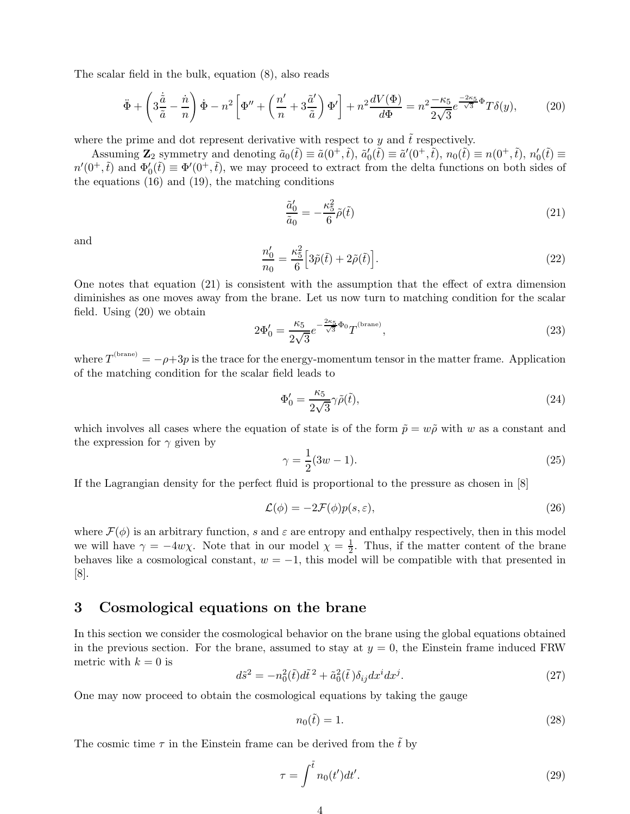The scalar field in the bulk, equation (8), also reads

$$
\ddot{\Phi} + \left(3\frac{\dot{\tilde{a}}}{\tilde{a}} - \frac{\dot{n}}{n}\right)\dot{\Phi} - n^2 \left[\Phi'' + \left(\frac{n'}{n} + 3\frac{\tilde{a}'}{\tilde{a}}\right)\Phi'\right] + n^2 \frac{dV(\Phi)}{d\Phi} = n^2 \frac{-\kappa_5}{2\sqrt{3}} e^{\frac{-2\kappa_5}{\sqrt{3}}\Phi} T\delta(y),\tag{20}
$$

where the prime and dot represent derivative with respect to  $y$  and  $t$  respectively.

Assuming  $\mathbf{Z}_2$  symmetry and denoting  $\tilde{a}_0(\tilde{t}) \equiv \tilde{a}(0^+,\tilde{t}), \tilde{a}'_0(\tilde{t}) \equiv \tilde{a}'(0^+,\tilde{t}), n_0(\tilde{t}) \equiv n(0^+,\tilde{t}), n'_0(\tilde{t}) \equiv n(0^+,\tilde{t})$  $n'(0^+,\tilde{t})$  and  $\Phi'_0(\tilde{t}) \equiv \Phi'(0^+,\tilde{t})$ , we may proceed to extract from the delta functions on both sides of the equations (16) and (19), the matching conditions

$$
\frac{\tilde{a}_0'}{\tilde{a}_0} = -\frac{\kappa_5^2}{6}\tilde{\rho}(\tilde{t})\tag{21}
$$

and

$$
\frac{n'_0}{n_0} = \frac{\kappa_5^2}{6} \Big[ 3\tilde{p}(\tilde{t}) + 2\tilde{\rho}(\tilde{t}) \Big].\tag{22}
$$

One notes that equation (21) is consistent with the assumption that the effect of extra dimension diminishes as one moves away from the brane. Let us now turn to matching condition for the scalar field. Using (20) we obtain

$$
2\Phi_0' = \frac{\kappa_5}{2\sqrt{3}}e^{-\frac{2\kappa_5}{\sqrt{3}}\Phi_0}T^{(\text{brane})},\tag{23}
$$

where  $T^{(brane)} = -\rho + 3p$  is the trace for the energy-momentum tensor in the matter frame. Application of the matching condition for the scalar field leads to

$$
\Phi'_0 = \frac{\kappa_5}{2\sqrt{3}} \gamma \tilde{\rho}(\tilde{t}),\tag{24}
$$

which involves all cases where the equation of state is of the form  $\tilde{p} = w\tilde{\rho}$  with w as a constant and the expression for  $\gamma$  given by

$$
\gamma = \frac{1}{2}(3w - 1). \tag{25}
$$

If the Lagrangian density for the perfect fluid is proportional to the pressure as chosen in [8]

$$
\mathcal{L}(\phi) = -2\mathcal{F}(\phi)p(s,\varepsilon),\tag{26}
$$

where  $\mathcal{F}(\phi)$  is an arbitrary function, s and  $\varepsilon$  are entropy and enthalpy respectively, then in this model we will have  $\gamma = -4w\chi$ . Note that in our model  $\chi = \frac{1}{2}$  $\frac{1}{2}$ . Thus, if the matter content of the brane behaves like a cosmological constant,  $w = -1$ , this model will be compatible with that presented in [8].

#### 3 Cosmological equations on the brane

In this section we consider the cosmological behavior on the brane using the global equations obtained in the previous section. For the brane, assumed to stay at  $y = 0$ , the Einstein frame induced FRW metric with  $k = 0$  is

$$
d\tilde{s}^2 = -n_0^2(\tilde{t})d\tilde{t}^2 + \tilde{a}_0^2(\tilde{t})\delta_{ij}dx^idx^j.
$$
\n
$$
(27)
$$

One may now proceed to obtain the cosmological equations by taking the gauge

$$
n_0(\tilde{t}) = 1.\t\t(28)
$$

The cosmic time  $\tau$  in the Einstein frame can be derived from the  $\tilde{t}$  by

$$
\tau = \int^{\tilde{t}} n_0(t')dt'.
$$
\n(29)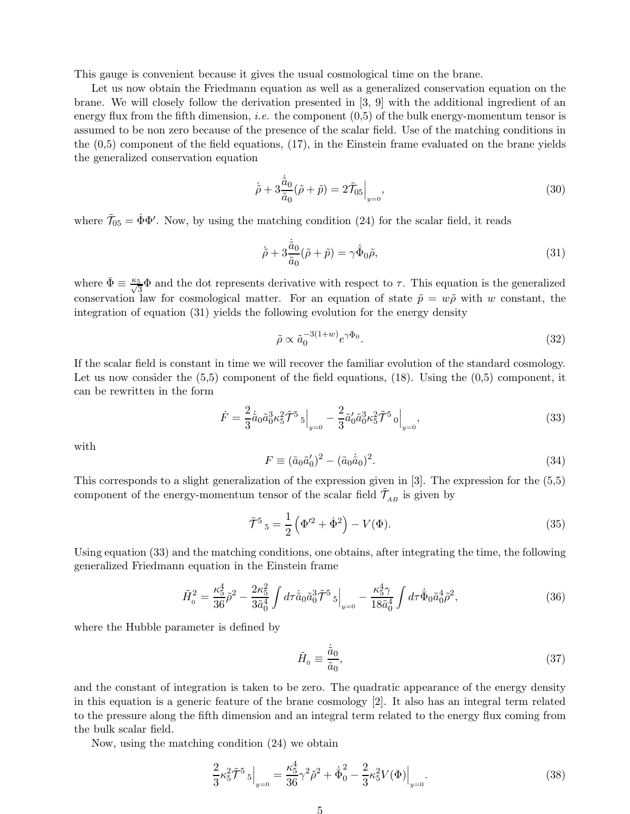This gauge is convenient because it gives the usual cosmological time on the brane.

Let us now obtain the Friedmann equation as well as a generalized conservation equation on the brane. We will closely follow the derivation presented in [3, 9] with the additional ingredient of an energy flux from the fifth dimension, *i.e.* the component  $(0,5)$  of the bulk energy-momentum tensor is assumed to be non zero because of the presence of the scalar field. Use of the matching conditions in the (0,5) component of the field equations, (17), in the Einstein frame evaluated on the brane yields the generalized conservation equation

$$
\dot{\tilde{\rho}} + 3 \frac{\dot{\tilde{a}}_0}{\tilde{a}_0} (\tilde{\rho} + \tilde{p}) = 2 \tilde{\mathcal{T}}_{05} \Big|_{y=0},\tag{30}
$$

where  $\tilde{\mathcal{T}}_{05} = \dot{\Phi} \Phi'$ . Now, by using the matching condition (24) for the scalar field, it reads

$$
\dot{\tilde{\rho}} + 3 \frac{\dot{\tilde{a}}_0}{\tilde{a}_0} (\tilde{\rho} + \tilde{p}) = \gamma \dot{\bar{\Phi}}_0 \tilde{\rho}, \tag{31}
$$

where  $\bar{\Phi} \equiv \frac{\kappa_5}{\sqrt{3}} \Phi$  and the dot represents derivative with respect to  $\tau$ . This equation is the generalized conservation law for cosmological matter. For an equation of state  $\tilde{p} = w\tilde{\rho}$  with w constant, the integration of equation (31) yields the following evolution for the energy density

$$
\tilde{\rho} \propto \tilde{a}_0^{-3(1+w)} e^{\gamma \bar{\Phi}_0}.
$$
\n(32)

If the scalar field is constant in time we will recover the familiar evolution of the standard cosmology. Let us now consider the  $(5,5)$  component of the field equations,  $(18)$ . Using the  $(0,5)$  component, it can be rewritten in the form

$$
\dot{F} = \frac{2}{3}\dot{\tilde{a}}_0 \tilde{a}_0^3 \kappa_5^2 \tilde{\mathcal{T}}^5 \left. _{\mathfrak{z}} \right|_{y=0} - \frac{2}{3} \tilde{a}'_0 \tilde{a}_0^3 \kappa_5^2 \tilde{\mathcal{T}}^5 \left. _{\mathfrak{z}} \right|_{y=0},\tag{33}
$$

with

$$
F \equiv (\tilde{a}_0 \tilde{a}'_0)^2 - (\tilde{a}_0 \dot{\tilde{a}}_0)^2. \tag{34}
$$

This corresponds to a slight generalization of the expression given in [3]. The expression for the (5,5) component of the energy-momentum tensor of the scalar field  $\tilde{\mathcal{T}}_{AB}$  is given by

$$
\tilde{\mathcal{T}}^5{}_5 = \frac{1}{2} \left( \Phi^{\prime 2} + \dot{\Phi}^2 \right) - V(\Phi). \tag{35}
$$

Using equation (33) and the matching conditions, one obtains, after integrating the time, the following generalized Friedmann equation in the Einstein frame

$$
\tilde{H}_0^2 = \frac{\kappa_5^4}{36} \tilde{\rho}^2 - \frac{2\kappa_5^2}{3\tilde{a}_0^4} \int d\tau \dot{\tilde{a}}_0 \tilde{a}_0^3 \tilde{\mathcal{T}}^5{}_5 \Big|_{y=0} - \frac{\kappa_5^4 \gamma}{18 \tilde{a}_0^4} \int d\tau \dot{\bar{\Phi}}_0 \tilde{a}_0^4 \tilde{\rho}^2, \tag{36}
$$

where the Hubble parameter is defined by

$$
\tilde{H}_0 \equiv \frac{\dot{\tilde{a}}_0}{\tilde{a}_0},\tag{37}
$$

and the constant of integration is taken to be zero. The quadratic appearance of the energy density in this equation is a generic feature of the brane cosmology [2]. It also has an integral term related to the pressure along the fifth dimension and an integral term related to the energy flux coming from the bulk scalar field.

Now, using the matching condition (24) we obtain

$$
\frac{2}{3} \kappa_5^2 \tilde{\mathcal{T}}^5{}_5 \Big|_{y=0} = \frac{\kappa_5^4}{36} \gamma^2 \tilde{\rho}^2 + \dot{\bar{\Phi}}_0^2 - \frac{2}{3} \kappa_5^2 V(\Phi) \Big|_{y=0}.
$$
 (38)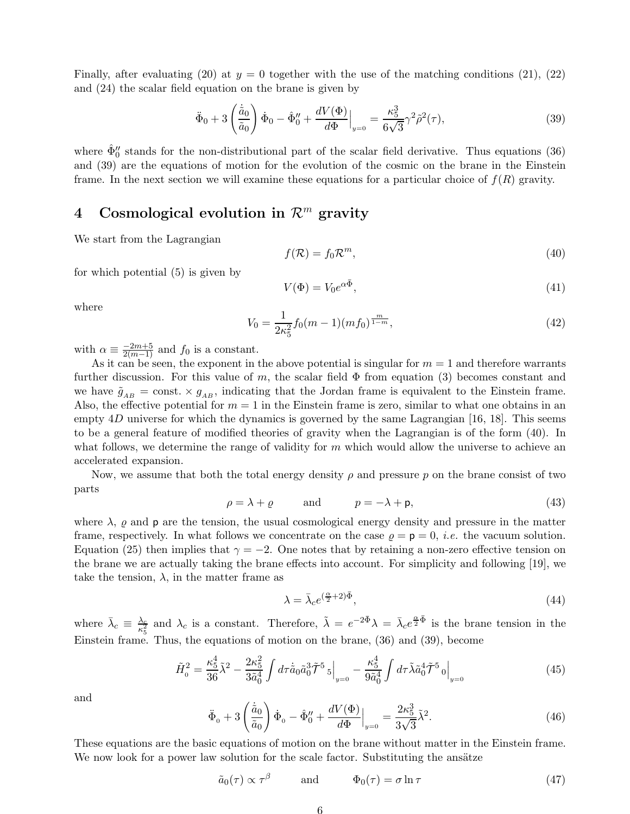Finally, after evaluating (20) at  $y = 0$  together with the use of the matching conditions (21), (22) and (24) the scalar field equation on the brane is given by

$$
\ddot{\Phi}_0 + 3 \left( \frac{\dot{\tilde{a}}_0}{\tilde{a}_0} \right) \dot{\Phi}_0 - \hat{\Phi}_0'' + \frac{dV(\Phi)}{d\Phi} \Big|_{y=0} = \frac{\kappa_5^3}{6\sqrt{3}} \gamma^2 \tilde{\rho}^2(\tau), \tag{39}
$$

where  $\hat{\Phi}''_0$  stands for the non-distributional part of the scalar field derivative. Thus equations (36) and (39) are the equations of motion for the evolution of the cosmic on the brane in the Einstein frame. In the next section we will examine these equations for a particular choice of  $f(R)$  gravity.

## 4 Cosmological evolution in  $\mathcal{R}^m$  gravity

We start from the Lagrangian

$$
f(\mathcal{R}) = f_0 \mathcal{R}^m,\tag{40}
$$

for which potential (5) is given by

$$
V(\Phi) = V_0 e^{\alpha \bar{\Phi}},\tag{41}
$$

where

$$
V_0 = \frac{1}{2\kappa_5^2} f_0(m-1)(m f_0)^{\frac{m}{1-m}},\tag{42}
$$

with  $\alpha \equiv \frac{-2m+5}{2(m-1)}$  and  $f_0$  is a constant.

As it can be seen, the exponent in the above potential is singular for  $m = 1$  and therefore warrants further discussion. For this value of m, the scalar field  $\Phi$  from equation (3) becomes constant and we have  $\tilde{g}_{AB}$  = const.  $\times g_{AB}$ , indicating that the Jordan frame is equivalent to the Einstein frame. Also, the effective potential for  $m = 1$  in the Einstein frame is zero, similar to what one obtains in an empty  $4D$  universe for which the dynamics is governed by the same Lagrangian [16, 18]. This seems to be a general feature of modified theories of gravity when the Lagrangian is of the form (40). In what follows, we determine the range of validity for  $m$  which would allow the universe to achieve an accelerated expansion.

Now, we assume that both the total energy density  $\rho$  and pressure p on the brane consist of two parts

$$
\rho = \lambda + \varrho \qquad \text{and} \qquad p = -\lambda + \mathsf{p}, \tag{43}
$$

where  $\lambda$ ,  $\varrho$  and  $\varphi$  are the tension, the usual cosmological energy density and pressure in the matter frame, respectively. In what follows we concentrate on the case  $\rho = \mathsf{p} = 0$ , *i.e.* the vacuum solution. Equation (25) then implies that  $\gamma = -2$ . One notes that by retaining a non-zero effective tension on the brane we are actually taking the brane effects into account. For simplicity and following [19], we take the tension,  $\lambda$ , in the matter frame as

$$
\lambda = \bar{\lambda}_c e^{(\frac{\alpha}{2} + 2)\bar{\Phi}},\tag{44}
$$

where  $\bar{\lambda}_c \equiv \frac{\lambda_c}{\kappa_5^2}$  $\frac{\lambda_c}{\kappa_5^2}$  and  $\lambda_c$  is a constant. Therefore,  $\tilde{\lambda} = e^{-2\bar{\Phi}}\lambda = \bar{\lambda}_ce^{\frac{\alpha}{2}\bar{\Phi}}$  is the brane tension in the Einstein frame. Thus, the equations of motion on the brane, (36) and (39), become

$$
\tilde{H}_0^2 = \frac{\kappa_5^4}{36} \tilde{\lambda}^2 - \frac{2\kappa_5^2}{3\tilde{a}_0^4} \int d\tau \dot{\tilde{a}}_0 \tilde{a}_0^3 \tilde{\mathcal{T}}^5 \left. \right|_{y=0} - \frac{\kappa_5^4}{9\tilde{a}_0^4} \int d\tau \tilde{\lambda} \tilde{a}_0^4 \tilde{\mathcal{T}}^5 \left. \right|_{y=0} \tag{45}
$$

and

$$
\ddot{\Phi}_0 + 3 \left( \frac{\dot{\tilde{a}}_0}{\tilde{a}_0} \right) \dot{\Phi}_0 - \hat{\Phi}_0'' + \frac{dV(\Phi)}{d\Phi} \Big|_{y=0} = \frac{2\kappa_5^3}{3\sqrt{3}} \tilde{\lambda}^2.
$$
 (46)

These equations are the basic equations of motion on the brane without matter in the Einstein frame. We now look for a power law solution for the scale factor. Substituting the ansätze

$$
\tilde{a}_0(\tau) \propto \tau^{\beta}
$$
 and  $\Phi_0(\tau) = \sigma \ln \tau$  (47)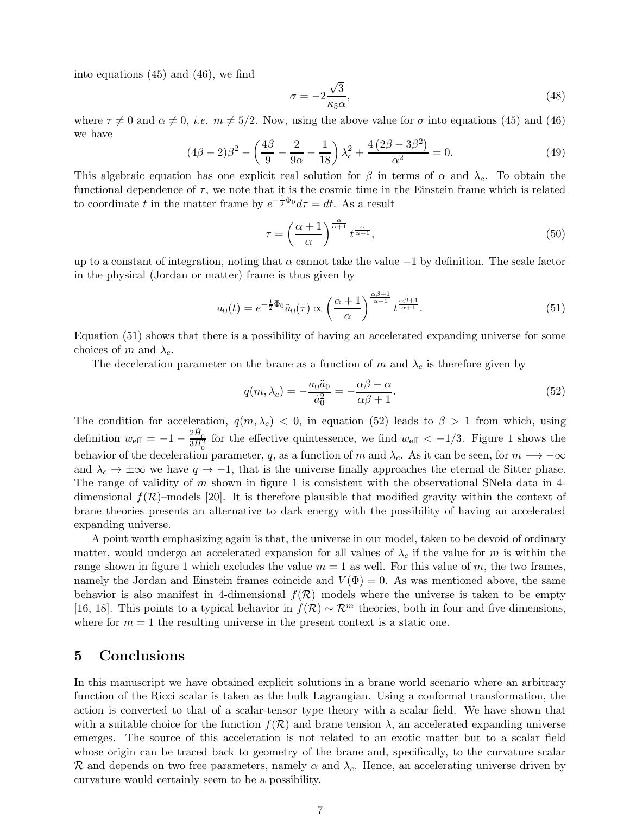into equations (45) and (46), we find

$$
\sigma = -2\frac{\sqrt{3}}{\kappa_5 \alpha},\tag{48}
$$

where  $\tau \neq 0$  and  $\alpha \neq 0$ , *i.e.*  $m \neq 5/2$ . Now, using the above value for  $\sigma$  into equations (45) and (46) we have

$$
(4\beta - 2)\beta^2 - \left(\frac{4\beta}{9} - \frac{2}{9\alpha} - \frac{1}{18}\right)\lambda_c^2 + \frac{4(2\beta - 3\beta^2)}{\alpha^2} = 0.
$$
 (49)

This algebraic equation has one explicit real solution for  $\beta$  in terms of  $\alpha$  and  $\lambda_c$ . To obtain the functional dependence of  $\tau$ , we note that it is the cosmic time in the Einstein frame which is related to coordinate t in the matter frame by  $e^{-\frac{1}{2}\bar{\Phi}_0}d\tau = dt$ . As a result

$$
\tau = \left(\frac{\alpha + 1}{\alpha}\right)^{\frac{\alpha}{\alpha + 1}} t^{\frac{\alpha}{\alpha + 1}},\tag{50}
$$

up to a constant of integration, noting that  $\alpha$  cannot take the value  $-1$  by definition. The scale factor in the physical (Jordan or matter) frame is thus given by

$$
a_0(t) = e^{-\frac{1}{2}\bar{\Phi}_0}\tilde{a}_0(\tau) \propto \left(\frac{\alpha+1}{\alpha}\right)^{\frac{\alpha\beta+1}{\alpha+1}} t^{\frac{\alpha\beta+1}{\alpha+1}}.
$$
\n(51)

Equation (51) shows that there is a possibility of having an accelerated expanding universe for some choices of m and  $\lambda_c$ .

The deceleration parameter on the brane as a function of m and  $\lambda_c$  is therefore given by

$$
q(m,\lambda_c) = -\frac{a_0 \ddot{a}_0}{\dot{a}_0^2} = -\frac{\alpha \beta - \alpha}{\alpha \beta + 1}.
$$
\n(52)

The condition for acceleration,  $q(m, \lambda_c)$  < 0, in equation (52) leads to  $\beta > 1$  from which, using definition  $w_{\text{eff}} = -1 - \frac{2H_0}{3H_0^2}$  for the effective quintessence, we find  $w_{\text{eff}} < -1/3$ . Figure 1 shows the behavior of the deceleration parameter, q, as a function of m and  $\lambda_c$ . As it can be seen, for  $m \rightarrow -\infty$ and  $\lambda_c \to \pm \infty$  we have  $q \to -1$ , that is the universe finally approaches the eternal de Sitter phase. The range of validity of  $m$  shown in figure 1 is consistent with the observational SNeIa data in 4dimensional  $f(\mathcal{R})$ –models [20]. It is therefore plausible that modified gravity within the context of brane theories presents an alternative to dark energy with the possibility of having an accelerated expanding universe.

A point worth emphasizing again is that, the universe in our model, taken to be devoid of ordinary matter, would undergo an accelerated expansion for all values of  $\lambda_c$  if the value for m is within the range shown in figure 1 which excludes the value  $m = 1$  as well. For this value of m, the two frames, namely the Jordan and Einstein frames coincide and  $V(\Phi) = 0$ . As was mentioned above, the same behavior is also manifest in 4-dimensional  $f(\mathcal{R})$ -models where the universe is taken to be empty [16, 18]. This points to a typical behavior in  $f(\mathcal{R}) \sim \mathcal{R}^m$  theories, both in four and five dimensions, where for  $m = 1$  the resulting universe in the present context is a static one.

#### 5 Conclusions

In this manuscript we have obtained explicit solutions in a brane world scenario where an arbitrary function of the Ricci scalar is taken as the bulk Lagrangian. Using a conformal transformation, the action is converted to that of a scalar-tensor type theory with a scalar field. We have shown that with a suitable choice for the function  $f(\mathcal{R})$  and brane tension  $\lambda$ , an accelerated expanding universe emerges. The source of this acceleration is not related to an exotic matter but to a scalar field whose origin can be traced back to geometry of the brane and, specifically, to the curvature scalar R and depends on two free parameters, namely  $\alpha$  and  $\lambda_c$ . Hence, an accelerating universe driven by curvature would certainly seem to be a possibility.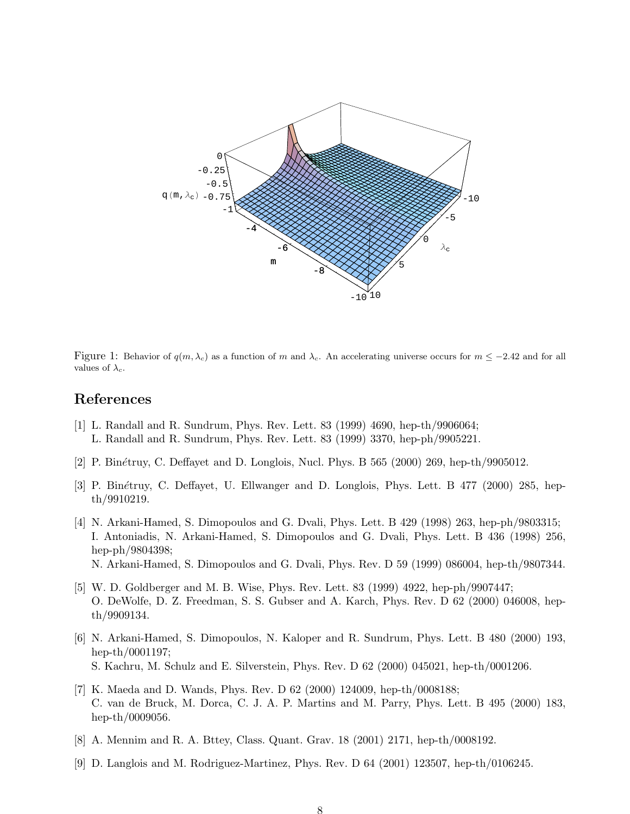

Figure 1: Behavior of  $q(m, \lambda_c)$  as a function of m and  $\lambda_c$ . An accelerating universe occurs for  $m \le -2.42$  and for all values of  $\lambda_c$ .

#### References

- [1] L. Randall and R. Sundrum, Phys. Rev. Lett. 83 (1999) 4690, hep-th/9906064; L. Randall and R. Sundrum, Phys. Rev. Lett. 83 (1999) 3370, hep-ph/9905221.
- [2] P. Binétruy, C. Deffayet and D. Longlois, Nucl. Phys. B 565 (2000) 269, hep-th/9905012.
- [3] P. Binétruy, C. Deffayet, U. Ellwanger and D. Longlois, Phys. Lett. B 477 (2000) 285, hepth/9910219.
- [4] N. Arkani-Hamed, S. Dimopoulos and G. Dvali, Phys. Lett. B 429 (1998) 263, hep-ph/9803315; I. Antoniadis, N. Arkani-Hamed, S. Dimopoulos and G. Dvali, Phys. Lett. B 436 (1998) 256, hep-ph/9804398; N. Arkani-Hamed, S. Dimopoulos and G. Dvali, Phys. Rev. D 59 (1999) 086004, hep-th/9807344.
- [5] W. D. Goldberger and M. B. Wise, Phys. Rev. Lett. 83 (1999) 4922, hep-ph/9907447; O. DeWolfe, D. Z. Freedman, S. S. Gubser and A. Karch, Phys. Rev. D 62 (2000) 046008, hepth/9909134.
- [6] N. Arkani-Hamed, S. Dimopoulos, N. Kaloper and R. Sundrum, Phys. Lett. B 480 (2000) 193, hep-th/0001197; S. Kachru, M. Schulz and E. Silverstein, Phys. Rev. D 62 (2000) 045021, hep-th/0001206.
- [7] K. Maeda and D. Wands, Phys. Rev. D 62 (2000) 124009, hep-th/0008188; C. van de Bruck, M. Dorca, C. J. A. P. Martins and M. Parry, Phys. Lett. B 495 (2000) 183, hep-th/0009056.
- [8] A. Mennim and R. A. Bttey, Class. Quant. Grav. 18 (2001) 2171, hep-th/0008192.
- [9] D. Langlois and M. Rodriguez-Martinez, Phys. Rev. D 64 (2001) 123507, hep-th/0106245.